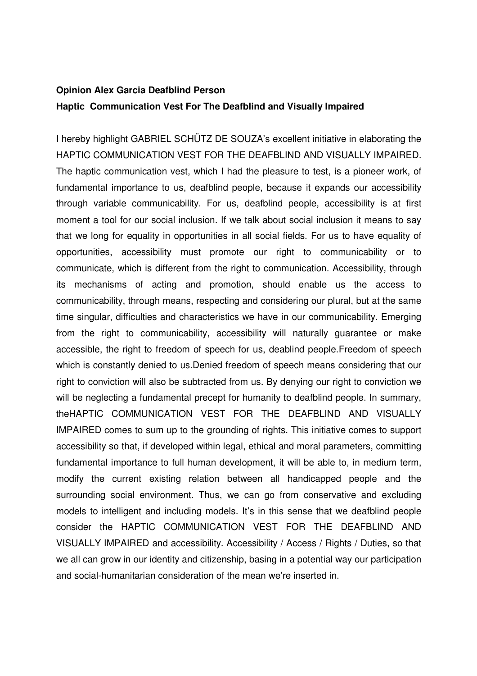## **Opinion Alex Garcia Deafblind Person Haptic Communication Vest For The Deafblind and Visually Impaired**

I hereby highlight GABRIEL SCHÜTZ DE SOUZA's excellent initiative in elaborating the HAPTIC COMMUNICATION VEST FOR THE DEAFBLIND AND VISUALLY IMPAIRED. The haptic communication vest, which I had the pleasure to test, is a pioneer work, of fundamental importance to us, deafblind people, because it expands our accessibility through variable communicability. For us, deafblind people, accessibility is at first moment a tool for our social inclusion. If we talk about social inclusion it means to say that we long for equality in opportunities in all social fields. For us to have equality of opportunities, accessibility must promote our right to communicability or to communicate, which is different from the right to communication. Accessibility, through its mechanisms of acting and promotion, should enable us the access to communicability, through means, respecting and considering our plural, but at the same time singular, difficulties and characteristics we have in our communicability. Emerging from the right to communicability, accessibility will naturally guarantee or make accessible, the right to freedom of speech for us, deablind people.Freedom of speech which is constantly denied to us.Denied freedom of speech means considering that our right to conviction will also be subtracted from us. By denying our right to conviction we will be neglecting a fundamental precept for humanity to deafblind people. In summary, theHAPTIC COMMUNICATION VEST FOR THE DEAFBLIND AND VISUALLY IMPAIRED comes to sum up to the grounding of rights. This initiative comes to support accessibility so that, if developed within legal, ethical and moral parameters, committing fundamental importance to full human development, it will be able to, in medium term, modify the current existing relation between all handicapped people and the surrounding social environment. Thus, we can go from conservative and excluding models to intelligent and including models. It's in this sense that we deafblind people consider the HAPTIC COMMUNICATION VEST FOR THE DEAFBLIND AND VISUALLY IMPAIRED and accessibility. Accessibility / Access / Rights / Duties, so that we all can grow in our identity and citizenship, basing in a potential way our participation and social-humanitarian consideration of the mean we're inserted in.